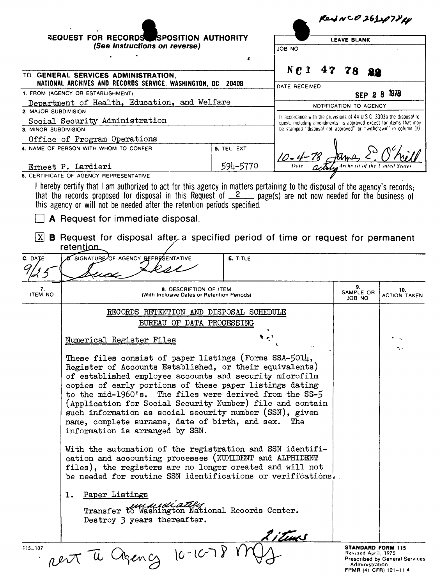|                      |                                                                                                                                                                                                                                                                                                                                                                                                                                                                                                                                                                                                                                                                                                                                                                                                                                                                                                    |            |                                    | Rent NCO 2612078 KU |                           |                |                                                                                                                                      |  |  |
|----------------------|----------------------------------------------------------------------------------------------------------------------------------------------------------------------------------------------------------------------------------------------------------------------------------------------------------------------------------------------------------------------------------------------------------------------------------------------------------------------------------------------------------------------------------------------------------------------------------------------------------------------------------------------------------------------------------------------------------------------------------------------------------------------------------------------------------------------------------------------------------------------------------------------------|------------|------------------------------------|---------------------|---------------------------|----------------|--------------------------------------------------------------------------------------------------------------------------------------|--|--|
|                      | REQUEST FOR RECORDS SPOSITION AUTHORITY                                                                                                                                                                                                                                                                                                                                                                                                                                                                                                                                                                                                                                                                                                                                                                                                                                                            |            |                                    | <b>LEAVE BLANK</b>  |                           |                |                                                                                                                                      |  |  |
|                      | (See Instructions on reverse)                                                                                                                                                                                                                                                                                                                                                                                                                                                                                                                                                                                                                                                                                                                                                                                                                                                                      |            | JOB NO                             |                     |                           |                |                                                                                                                                      |  |  |
|                      |                                                                                                                                                                                                                                                                                                                                                                                                                                                                                                                                                                                                                                                                                                                                                                                                                                                                                                    |            |                                    |                     |                           |                |                                                                                                                                      |  |  |
|                      | TO GENERAL SERVICES ADMINISTRATION,<br>NATIONAL ARCHIVES AND RECORDS SERVICE, WASHINGTON, DC                                                                                                                                                                                                                                                                                                                                                                                                                                                                                                                                                                                                                                                                                                                                                                                                       | 20408      | $N \mathcal{C}$ 1<br>DATE RECEIVED |                     |                           |                |                                                                                                                                      |  |  |
|                      | 1. FROM (AGENCY OR ESTABLISHMENT)                                                                                                                                                                                                                                                                                                                                                                                                                                                                                                                                                                                                                                                                                                                                                                                                                                                                  |            |                                    |                     | SEP                       |                | 1978<br>8                                                                                                                            |  |  |
|                      | Department of Health, Education, and Welfare                                                                                                                                                                                                                                                                                                                                                                                                                                                                                                                                                                                                                                                                                                                                                                                                                                                       |            |                                    |                     | NOTIFICATION TO AGENCY    |                |                                                                                                                                      |  |  |
| 2. MAJOR SUBDIVISION | Social Security Administration                                                                                                                                                                                                                                                                                                                                                                                                                                                                                                                                                                                                                                                                                                                                                                                                                                                                     |            |                                    |                     |                           |                | In accordance with the provisions of 44 U.S.C. 3303a the disposal re-                                                                |  |  |
| 3. MINOR SUBDIVISION |                                                                                                                                                                                                                                                                                                                                                                                                                                                                                                                                                                                                                                                                                                                                                                                                                                                                                                    |            |                                    |                     |                           |                | quest, including amendments, is approved except for items that may<br>be stamped "disposal not approved" or "withdrawn" in column 10 |  |  |
|                      | Office of Program Operations                                                                                                                                                                                                                                                                                                                                                                                                                                                                                                                                                                                                                                                                                                                                                                                                                                                                       |            |                                    |                     |                           |                |                                                                                                                                      |  |  |
|                      | 4. NAME OF PERSON WITH WHOM TO CONFER                                                                                                                                                                                                                                                                                                                                                                                                                                                                                                                                                                                                                                                                                                                                                                                                                                                              | 5. TEL EXT |                                    |                     |                           |                |                                                                                                                                      |  |  |
|                      | Ernest P. Lardieri                                                                                                                                                                                                                                                                                                                                                                                                                                                                                                                                                                                                                                                                                                                                                                                                                                                                                 | 594-5770   | $10-4-78$ and $\frac{2}{\omega}$   |                     |                           |                |                                                                                                                                      |  |  |
|                      | <b>6. CERTIFICATE OF AGENCY REPRESENTATIVE</b>                                                                                                                                                                                                                                                                                                                                                                                                                                                                                                                                                                                                                                                                                                                                                                                                                                                     |            |                                    |                     |                           |                |                                                                                                                                      |  |  |
| XI                   | that the records proposed for disposal in this Request of $2$ page(s) are not now needed for the business of<br>this agency or will not be needed after the retention periods specified.<br>A Request for immediate disposal.<br><b>B</b> Request for disposal after a specified period of time or request for permanent<br>retention                                                                                                                                                                                                                                                                                                                                                                                                                                                                                                                                                              |            |                                    |                     |                           |                |                                                                                                                                      |  |  |
| C. DATE              | <b>O.</b> SIGNATURE OF AGENCY BEPRESENTATIVE                                                                                                                                                                                                                                                                                                                                                                                                                                                                                                                                                                                                                                                                                                                                                                                                                                                       | E. TITLE   |                                    |                     |                           |                |                                                                                                                                      |  |  |
|                      |                                                                                                                                                                                                                                                                                                                                                                                                                                                                                                                                                                                                                                                                                                                                                                                                                                                                                                    |            |                                    |                     |                           |                |                                                                                                                                      |  |  |
| 7.<br>ITEM NO        | 8. DESCRIPTION OF ITEM<br>(With Inclusive Dates or Retention Periods)                                                                                                                                                                                                                                                                                                                                                                                                                                                                                                                                                                                                                                                                                                                                                                                                                              |            |                                    |                     | 9.<br>SAMPLE OR<br>JOB NO |                | 10.<br><b>ACTION TAKEN</b>                                                                                                           |  |  |
|                      | RECORDS RETENTION AND DISPOSAL SCHEDULE<br>BUREAU OF DATA PROCESSING                                                                                                                                                                                                                                                                                                                                                                                                                                                                                                                                                                                                                                                                                                                                                                                                                               |            |                                    |                     |                           |                |                                                                                                                                      |  |  |
|                      | Numerical Register Files                                                                                                                                                                                                                                                                                                                                                                                                                                                                                                                                                                                                                                                                                                                                                                                                                                                                           |            |                                    |                     |                           |                |                                                                                                                                      |  |  |
|                      | These files consist of paper listings (Forms SSA-5014,<br>Register of Accounts Established, or their equivalents)<br>of established employee accounts and security microfilm<br>copies of early portions of these paper listings dating<br>to the mid-1960's. The files were derived from the SS-5<br>(Application for Social Security Number) file and contain<br>such information as social security number (SSN), given<br>name, complete surname, date of birth, and sex. The<br>information is arranged by SSN.<br>With the automation of the registration and SSN identifi-<br>cation and accounting processes (NUMIDENT and ALPHIDENT<br>files), the registers are no longer created and will not<br>be needed for routine SSN identifications or verifications.<br>Paper Listings<br>ı.<br>Transfer to Washington National Records Center.<br>Destroy 3 years thereafter.<br><u>Litems</u> |            |                                    |                     |                           |                |                                                                                                                                      |  |  |
| $115 - 107$          | Rent The Change 10-10-78                                                                                                                                                                                                                                                                                                                                                                                                                                                                                                                                                                                                                                                                                                                                                                                                                                                                           |            |                                    |                     | Revised April, 1975       | Administration | <b>STANDARD FORM 115</b><br>Prescribed by General Services<br>FPMR (41 CFR) 101-114                                                  |  |  |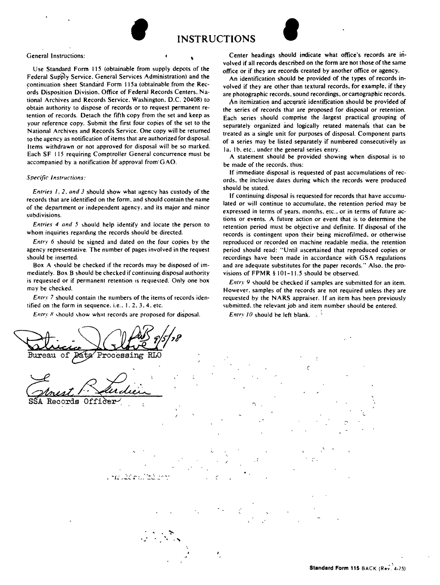



Use Standard Form 115 (obtainable from supply depots of the Federal Supply Service. General Services Administration) and the continuation sheet Standard Form 115a (obtainable from the Records Disposition Division. Office of Federal Records Centers. National Archives and Records Service. Washington. D.C. 20408) to obtain authority to dispose of records or to request permanent retention of records. Detach the fifth copy from the set and keep as your reference copy. Submit the first four copies of the set to the National Archives and Records Service. One copy will be returned to the agency as notification of items that are authorized for disposal. Items withdrawn or not approved for disposal will be so marked. Each SF 115 requiring Comptroller General concurrence must be accompanied by a notification of approval from GAO.

## *Specific Instructions:*

*Entries I.* 2. *and* 3 should show what agency has custody of the records that are identified on the form. and should contain the name of the department or independent agency. and its major and minor subdivisions.

*Entries* 4 *and* 5 should help identify and locate the person to whom inquiries regarding the records should be directed.

*Entry* 6 should be signed and dated on the four copies by the agency representative. The number of pages involved in the request should be inserted.

Box A should be checked if the records may be disposed of immediately. Box B should be checked if continuing disposal authority is requested or if permanent retention is requested. Only one box may be checked.

*Entry* 7 should contain the numbers of the items of records identified on the form in sequence. i.e.. 1.2.3.4. etc.

*Entry* 8 should show what records are proposed for disposal.

.~- ... ,

General Instructions:<br>Center headings should indicate what office's records are in-<br>volved if all records described on the form are not those of the same office or if they are records created by another office or agency.

An identification should be provided of the types of records involved if they are other than textural records. for example. if they are photographic records. sound recordings. or cartographic records.

An itemization and accurate identification should be provided of the series of records that are proposed for disposal or retention. Each series should comprise the .largest practical grouping of separately organized and logically related materials that can be treated as a single unit for purposes of disposal. Component parts of a series may be listed separately if numbered consecutively as Ia. 1b. etc., under the general series entry.

A statement should be provided showing when disposal is to be made of the records. thus:

If immediate disposal is requested of past accumulations of records. the inclusive dates during which the records were produced should be stated.

If continuing disposal is requested for records that have accumulated or will continue to accumulate. the retention period may be expressed in terms of years. months. etc .. or in terms of future actions or events. A future action or event that is to determine the retention period must be objective and definite. If disposal of the records is contingent upon their being microfilmed. or otherwise reproduced or recorded on machine readable media. the retention period should read: "Until ascertained that reproduced copies or recordings have been made in accordance with GSA regulations and are adequate substitutes for the paper records." Also. the provisions of FPMR  $§ 101-11.5$  should be observed.

*Entry* 9 should be checked if samples are submitted for an item. However. samples of the records are not required unless they are requested by the N ARS appraiser. If an item has been previously submitted, the relevant job and item number should be entered.

*Entry*  $10$  should be left blank.

Bureau of Data Processing RLO

 $~\simeq~$ SSA Records Officer